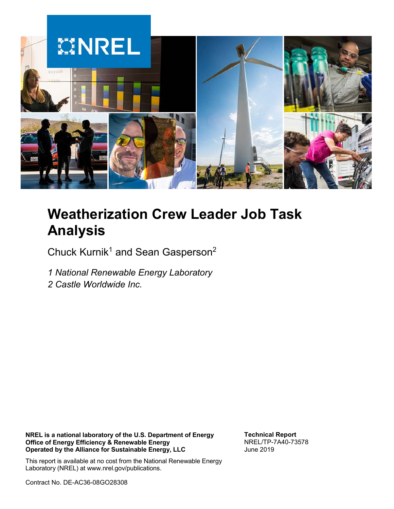

# **Weatherization Crew Leader Job Task Analysis**

Chuck Kurnik<sup>1</sup> and Sean Gasperson<sup>2</sup>

*1 National Renewable Energy Laboratory*

*2 Castle Worldwide Inc.*

**NREL is a national laboratory of the U.S. Department of Energy Office of Energy Efficiency & Renewable Energy Operated by the Alliance for Sustainable Energy, LLC**

**Technical Report** NREL/TP-7A40-73578 June 2019

This report is available at no cost from the National Renewable Energy Laboratory (NREL) at www.nrel.gov/publications.

Contract No. DE-AC36-08GO28308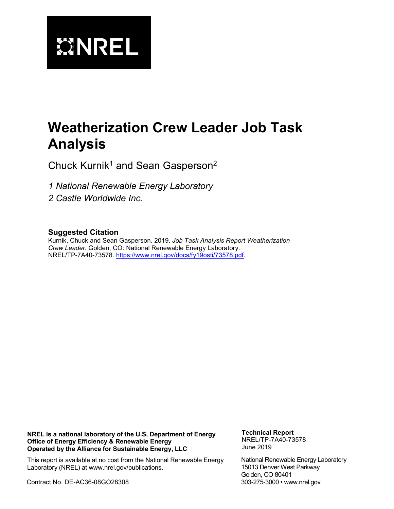

# **Weatherization Crew Leader Job Task Analysis**

Chuck Kurnik<sup>1</sup> and Sean Gasperson<sup>2</sup>

*1 National Renewable Energy Laboratory 2 Castle Worldwide Inc.*

#### **Suggested Citation**

Kurnik, Chuck and Sean Gasperson. 2019. *Job Task Analysis Report Weatherization Crew Leader.* Golden, CO: National Renewable Energy Laboratory. NREL/TP-7A40-73578. [https://www.nrel.gov/docs/fy19osti/73578.pdf.](https://www.nrel.gov/docs/fy19osti/73578.pdf)

**NREL is a national laboratory of the U.S. Department of Energy Office of Energy Efficiency & Renewable Energy Operated by the Alliance for Sustainable Energy, LLC**

This report is available at no cost from the National Renewable Energy

**Technical Report** NREL/TP-7A40-73578 June 2019

National Renewable Energy Laboratory 15013 Denver West Parkway Golden, CO 80401 303-275-3000 • www.nrel.gov

Laboratory (NREL) at www.nrel.gov/publications.

Contract No. DE-AC36-08GO28308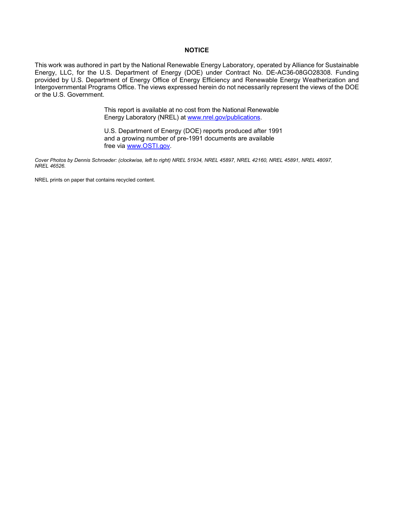#### **NOTICE**

This work was authored in part by the National Renewable Energy Laboratory, operated by Alliance for Sustainable Energy, LLC, for the U.S. Department of Energy (DOE) under Contract No. DE-AC36-08GO28308. Funding provided by U.S. Department of Energy Office of Energy Efficiency and Renewable Energy Weatherization and Intergovernmental Programs Office. The views expressed herein do not necessarily represent the views of the DOE or the U.S. Government.

> This report is available at no cost from the National Renewable Energy Laboratory (NREL) at [www.nrel.gov/publications.](http://www.nrel.gov/publications)

U.S. Department of Energy (DOE) reports produced after 1991 and a growing number of pre-1991 documents are available free via [www.OSTI.gov.](http://www.osti.gov/)

*Cover Photos by Dennis Schroeder: (clockwise, left to right) NREL 51934, NREL 45897, NREL 42160, NREL 45891, NREL 48097, NREL 46526.*

NREL prints on paper that contains recycled content.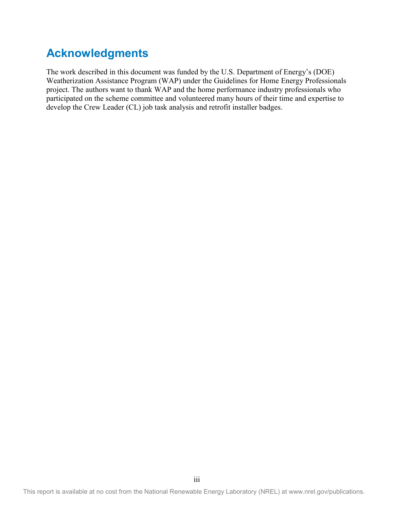## **Acknowledgments**

The work described in this document was funded by the U.S. Department of Energy's (DOE) Weatherization Assistance Program (WAP) under the Guidelines for Home Energy Professionals project. The authors want to thank WAP and the home performance industry professionals who participated on the scheme committee and volunteered many hours of their time and expertise to develop the Crew Leader (CL) job task analysis and retrofit installer badges.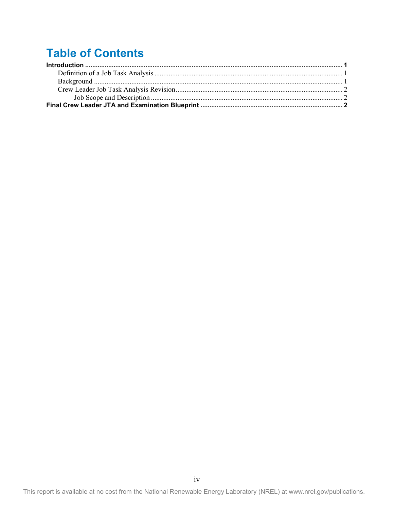## **Table of Contents**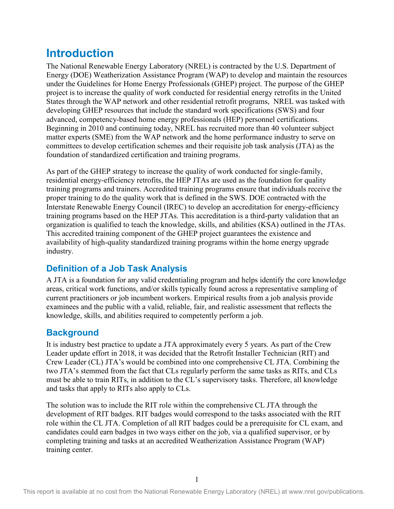## <span id="page-5-0"></span>**Introduction**

The National Renewable Energy Laboratory (NREL) is contracted by the U.S. Department of Energy (DOE) Weatherization Assistance Program (WAP) to develop and maintain the resources under the Guidelines for Home Energy Professionals (GHEP) project. The purpose of the GHEP project is to increase the quality of work conducted for residential energy retrofits in the United States through the WAP network and other residential retrofit programs, NREL was tasked with developing GHEP resources that include the standard work specifications (SWS) and four advanced, competency-based home energy professionals (HEP) personnel certifications. Beginning in 2010 and continuing today, NREL has recruited more than 40 volunteer subject matter experts (SME) from the WAP network and the home performance industry to serve on committees to develop certification schemes and their requisite job task analysis (JTA) as the foundation of standardized certification and training programs.

As part of the GHEP strategy to increase the quality of work conducted for single-family, residential energy-efficiency retrofits, the HEP JTAs are used as the foundation for quality training programs and trainers. Accredited training programs ensure that individuals receive the proper training to do the quality work that is defined in the SWS. DOE contracted with the Interstate Renewable Energy Council (IREC) to develop an accreditation for energy-efficiency training programs based on the HEP JTAs. This accreditation is a third-party validation that an organization is qualified to teach the knowledge, skills, and abilities (KSA) outlined in the JTAs. This accredited training component of the GHEP project guarantees the existence and availability of high-quality standardized training programs within the home energy upgrade industry.

### <span id="page-5-1"></span>**Definition of a Job Task Analysis**

A JTA is a foundation for any valid credentialing program and helps identify the core knowledge areas, critical work functions, and/or skills typically found across a representative sampling of current practitioners or job incumbent workers. Empirical results from a job analysis provide examinees and the public with a valid, reliable, fair, and realistic assessment that reflects the knowledge, skills, and abilities required to competently perform a job.

### <span id="page-5-2"></span>**Background**

It is industry best practice to update a JTA approximately every 5 years. As part of the Crew Leader update effort in 2018, it was decided that the Retrofit Installer Technician (RIT) and Crew Leader (CL) JTA's would be combined into one comprehensive CL JTA. Combining the two JTA's stemmed from the fact that CLs regularly perform the same tasks as RITs, and CLs must be able to train RITs, in addition to the CL's supervisory tasks. Therefore, all knowledge and tasks that apply to RITs also apply to CLs.

The solution was to include the RIT role within the comprehensive CL JTA through the development of RIT badges. RIT badges would correspond to the tasks associated with the RIT role within the CL JTA. Completion of all RIT badges could be a prerequisite for CL exam, and candidates could earn badges in two ways either on the job, via a qualified supervisor, or by completing training and tasks at an accredited Weatherization Assistance Program (WAP) training center.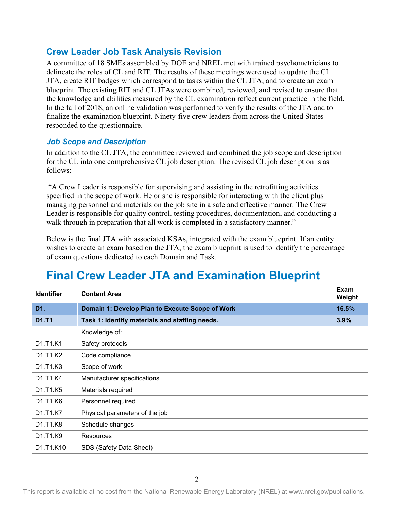#### <span id="page-6-0"></span>**Crew Leader Job Task Analysis Revision**

A committee of 18 SMEs assembled by DOE and NREL met with trained psychometricians to delineate the roles of CL and RIT. The results of these meetings were used to update the CL JTA, create RIT badges which correspond to tasks within the CL JTA, and to create an exam blueprint. The existing RIT and CL JTAs were combined, reviewed, and revised to ensure that the knowledge and abilities measured by the CL examination reflect current practice in the field. In the fall of 2018, an online validation was performed to verify the results of the JTA and to finalize the examination blueprint. Ninety-five crew leaders from across the United States responded to the questionnaire.

#### <span id="page-6-1"></span>*Job Scope and Description*

In addition to the CL JTA, the committee reviewed and combined the job scope and description for the CL into one comprehensive CL job description. The revised CL job description is as follows:

"A Crew Leader is responsible for supervising and assisting in the retrofitting activities specified in the scope of work. He or she is responsible for interacting with the client plus managing personnel and materials on the job site in a safe and effective manner. The Crew Leader is responsible for quality control, testing procedures, documentation, and conducting a walk through in preparation that all work is completed in a satisfactory manner."

Below is the final JTA with associated KSAs, integrated with the exam blueprint. If an entity wishes to create an exam based on the JTA, the exam blueprint is used to identify the percentage of exam questions dedicated to each Domain and Task.

| <b>Identifier</b>                              | <b>Content Area</b>                             | Exam<br>Weight |
|------------------------------------------------|-------------------------------------------------|----------------|
| D1.                                            | Domain 1: Develop Plan to Execute Scope of Work | 16.5%          |
| D1.T1                                          | Task 1: Identify materials and staffing needs.  | 3.9%           |
|                                                | Knowledge of:                                   |                |
| D1.T1.K1                                       | Safety protocols                                |                |
| D1.T1.K2                                       | Code compliance                                 |                |
| D <sub>1</sub> .T <sub>1</sub> .K <sub>3</sub> | Scope of work                                   |                |
| D1.T1.K4                                       | Manufacturer specifications                     |                |
| D1.T1.K5                                       | Materials required                              |                |
| D1.T1.K6                                       | Personnel required                              |                |
| D1.T1.K7                                       | Physical parameters of the job                  |                |
| D1.T1.K8                                       | Schedule changes                                |                |
| D1.T1.K9                                       | Resources                                       |                |
| D1.T1.K10                                      | SDS (Safety Data Sheet)                         |                |

## <span id="page-6-2"></span>**Final Crew Leader JTA and Examination Blueprint**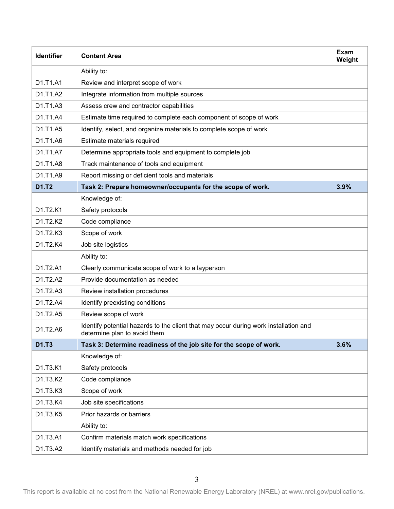| <b>Identifier</b> | <b>Content Area</b>                                                                                                  | <b>Exam</b><br>Weight |
|-------------------|----------------------------------------------------------------------------------------------------------------------|-----------------------|
|                   | Ability to:                                                                                                          |                       |
| D1.T1.A1          | Review and interpret scope of work                                                                                   |                       |
| D1.T1.A2          | Integrate information from multiple sources                                                                          |                       |
| D1.T1.A3          | Assess crew and contractor capabilities                                                                              |                       |
| D1.T1.A4          | Estimate time required to complete each component of scope of work                                                   |                       |
| D1.T1.A5          | Identify, select, and organize materials to complete scope of work                                                   |                       |
| D1.T1.A6          | Estimate materials required                                                                                          |                       |
| D1.T1.A7          | Determine appropriate tools and equipment to complete job                                                            |                       |
| D1.T1.A8          | Track maintenance of tools and equipment                                                                             |                       |
| D1.T1.A9          | Report missing or deficient tools and materials                                                                      |                       |
| D1.T2             | Task 2: Prepare homeowner/occupants for the scope of work.                                                           | 3.9%                  |
|                   | Knowledge of:                                                                                                        |                       |
| D1.T2.K1          | Safety protocols                                                                                                     |                       |
| D1.T2.K2          | Code compliance                                                                                                      |                       |
| D1.T2.K3          | Scope of work                                                                                                        |                       |
| D1.T2.K4          | Job site logistics                                                                                                   |                       |
|                   | Ability to:                                                                                                          |                       |
| D1.T2.A1          | Clearly communicate scope of work to a layperson                                                                     |                       |
| D1.T2.A2          | Provide documentation as needed                                                                                      |                       |
| D1.T2.A3          | Review installation procedures                                                                                       |                       |
| D1.T2.A4          | Identify preexisting conditions                                                                                      |                       |
| D1.T2.A5          | Review scope of work                                                                                                 |                       |
| D1.T2.A6          | Identify potential hazards to the client that may occur during work installation and<br>determine plan to avoid them |                       |
| D1.T3             | Task 3: Determine readiness of the job site for the scope of work.                                                   | 3.6%                  |
|                   | Knowledge of:                                                                                                        |                       |
| D1.T3.K1          | Safety protocols                                                                                                     |                       |
| D1.T3.K2          | Code compliance                                                                                                      |                       |
| D1.T3.K3          | Scope of work                                                                                                        |                       |
| D1.T3.K4          | Job site specifications                                                                                              |                       |
| D1.T3.K5          | Prior hazards or barriers                                                                                            |                       |
|                   | Ability to:                                                                                                          |                       |
| D1.T3.A1          | Confirm materials match work specifications                                                                          |                       |
| D1.T3.A2          | Identify materials and methods needed for job                                                                        |                       |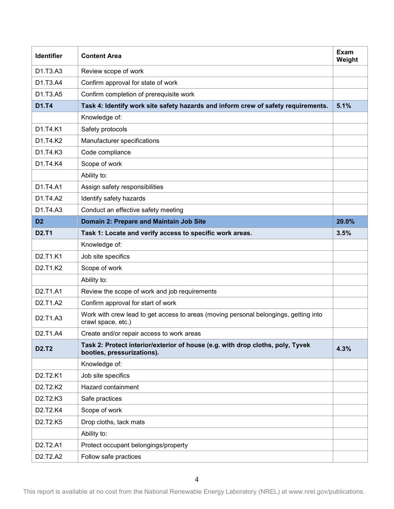| <b>Identifier</b>                              | <b>Content Area</b>                                                                                          | Exam<br>Weight |
|------------------------------------------------|--------------------------------------------------------------------------------------------------------------|----------------|
| D1.T3.A3                                       | Review scope of work                                                                                         |                |
| D1.T3.A4                                       | Confirm approval for state of work                                                                           |                |
| D1.T3.A5                                       | Confirm completion of prerequisite work                                                                      |                |
| D1.T4                                          | Task 4: Identify work site safety hazards and inform crew of safety requirements.                            | 5.1%           |
|                                                | Knowledge of:                                                                                                |                |
| D1.T4.K1                                       | Safety protocols                                                                                             |                |
| D1.T4.K2                                       | Manufacturer specifications                                                                                  |                |
| D1.T4.K3                                       | Code compliance                                                                                              |                |
| D1.T4.K4                                       | Scope of work                                                                                                |                |
|                                                | Ability to:                                                                                                  |                |
| D1.T4.A1                                       | Assign safety responsibilities                                                                               |                |
| D1.T4.A2                                       | Identify safety hazards                                                                                      |                |
| D1.T4.A3                                       | Conduct an effective safety meeting                                                                          |                |
| D <sub>2</sub>                                 | Domain 2: Prepare and Maintain Job Site                                                                      | 20.0%          |
| <b>D2.T1</b>                                   | Task 1: Locate and verify access to specific work areas.                                                     | 3.5%           |
|                                                | Knowledge of:                                                                                                |                |
| D2.T1.K1                                       | Job site specifics                                                                                           |                |
| D2.T1.K2                                       | Scope of work                                                                                                |                |
|                                                | Ability to:                                                                                                  |                |
| D2.T1.A1                                       | Review the scope of work and job requirements                                                                |                |
| D <sub>2</sub> .T <sub>1</sub> .A <sub>2</sub> | Confirm approval for start of work                                                                           |                |
| D2.T1.A3                                       | Work with crew lead to get access to areas (moving personal belongings, getting into<br>crawl space, etc.)   |                |
| D2.T1.A4                                       | Create and/or repair access to work areas                                                                    |                |
| <b>D2.T2</b>                                   | Task 2: Protect interior/exterior of house (e.g. with drop cloths, poly, Tyvek<br>booties, pressurizations). | 4.3%           |
|                                                | Knowledge of:                                                                                                |                |
| D2.T2.K1                                       | Job site specifics                                                                                           |                |
| D2.T2.K2                                       | Hazard containment                                                                                           |                |
| D2.T2.K3                                       | Safe practices                                                                                               |                |
| D2.T2.K4                                       | Scope of work                                                                                                |                |
| D2.T2.K5                                       | Drop cloths, tack mats                                                                                       |                |
|                                                | Ability to:                                                                                                  |                |
| D2.T2.A1                                       | Protect occupant belongings/property                                                                         |                |
| D2.T2.A2                                       | Follow safe practices                                                                                        |                |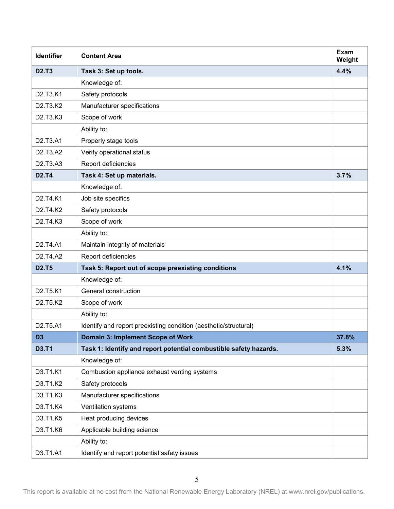| <b>Identifier</b>                              | <b>Content Area</b>                                               | Exam<br>Weight |
|------------------------------------------------|-------------------------------------------------------------------|----------------|
| <b>D2.T3</b>                                   | Task 3: Set up tools.                                             | 4.4%           |
|                                                | Knowledge of:                                                     |                |
| D2.T3.K1                                       | Safety protocols                                                  |                |
| D2.T3.K2                                       | Manufacturer specifications                                       |                |
| D2.T3.K3                                       | Scope of work                                                     |                |
|                                                | Ability to:                                                       |                |
| D2.T3.A1                                       | Properly stage tools                                              |                |
| D2.T3.A2                                       | Verify operational status                                         |                |
| D2.T3.A3                                       | Report deficiencies                                               |                |
| <b>D2.T4</b>                                   | Task 4: Set up materials.                                         | 3.7%           |
|                                                | Knowledge of:                                                     |                |
| D2.T4.K1                                       | Job site specifics                                                |                |
| D2.T4.K2                                       | Safety protocols                                                  |                |
| D2.T4.K3                                       | Scope of work                                                     |                |
|                                                | Ability to:                                                       |                |
| D <sub>2</sub> .T <sub>4</sub> .A <sub>1</sub> | Maintain integrity of materials                                   |                |
| D <sub>2</sub> .T <sub>4</sub> .A <sub>2</sub> | Report deficiencies                                               |                |
| <b>D2.T5</b>                                   | Task 5: Report out of scope preexisting conditions                | 4.1%           |
|                                                | Knowledge of:                                                     |                |
| D2.T5.K1                                       | General construction                                              |                |
| D2.T5.K2                                       | Scope of work                                                     |                |
|                                                | Ability to:                                                       |                |
| D2.T5.A1                                       | Identify and report preexisting condition (aesthetic/structural)  |                |
| D <sub>3</sub>                                 | Domain 3: Implement Scope of Work                                 | 37.8%          |
| <b>D3.T1</b>                                   | Task 1: Identify and report potential combustible safety hazards. | 5.3%           |
|                                                | Knowledge of:                                                     |                |
| D3.T1.K1                                       | Combustion appliance exhaust venting systems                      |                |
| D3.T1.K2                                       | Safety protocols                                                  |                |
| D3.T1.K3                                       | Manufacturer specifications                                       |                |
| D3.T1.K4                                       | Ventilation systems                                               |                |
| D3.T1.K5                                       | Heat producing devices                                            |                |
| D3.T1.K6                                       | Applicable building science                                       |                |
|                                                | Ability to:                                                       |                |
| D3.T1.A1                                       | Identify and report potential safety issues                       |                |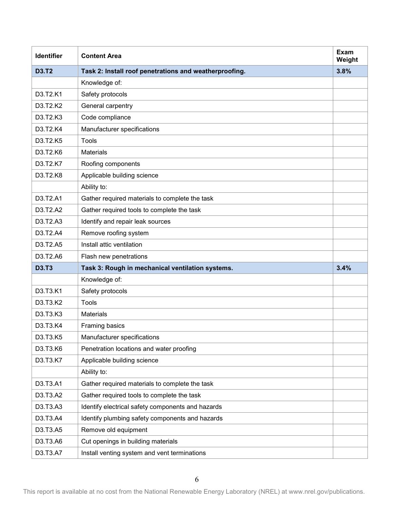| <b>Identifier</b> | <b>Content Area</b>                                    | Exam<br>Weight |
|-------------------|--------------------------------------------------------|----------------|
| <b>D3.T2</b>      | Task 2: Install roof penetrations and weatherproofing. | 3.8%           |
|                   | Knowledge of:                                          |                |
| D3.T2.K1          | Safety protocols                                       |                |
| D3.T2.K2          | General carpentry                                      |                |
| D3.T2.K3          | Code compliance                                        |                |
| D3.T2.K4          | Manufacturer specifications                            |                |
| D3.T2.K5          | <b>Tools</b>                                           |                |
| D3.T2.K6          | <b>Materials</b>                                       |                |
| D3.T2.K7          | Roofing components                                     |                |
| D3.T2.K8          | Applicable building science                            |                |
|                   | Ability to:                                            |                |
| D3.T2.A1          | Gather required materials to complete the task         |                |
| D3.T2.A2          | Gather required tools to complete the task             |                |
| D3.T2.A3          | Identify and repair leak sources                       |                |
| D3.T2.A4          | Remove roofing system                                  |                |
| D3.T2.A5          | Install attic ventilation                              |                |
| D3.T2.A6          | Flash new penetrations                                 |                |
| <b>D3.T3</b>      | Task 3: Rough in mechanical ventilation systems.       | 3.4%           |
|                   | Knowledge of:                                          |                |
| D3.T3.K1          | Safety protocols                                       |                |
| D3.T3.K2          | Tools                                                  |                |
| D3.T3.K3          | <b>Materials</b>                                       |                |
| D3.T3.K4          | Framing basics                                         |                |
| D3.T3.K5          | Manufacturer specifications                            |                |
| D3.T3.K6          | Penetration locations and water proofing               |                |
| D3.T3.K7          | Applicable building science                            |                |
|                   | Ability to:                                            |                |
| D3.T3.A1          | Gather required materials to complete the task         |                |
| D3.T3.A2          | Gather required tools to complete the task             |                |
| D3.T3.A3          | Identify electrical safety components and hazards      |                |
| D3.T3.A4          | Identify plumbing safety components and hazards        |                |
| D3.T3.A5          | Remove old equipment                                   |                |
| D3.T3.A6          | Cut openings in building materials                     |                |
| D3.T3.A7          | Install venting system and vent terminations           |                |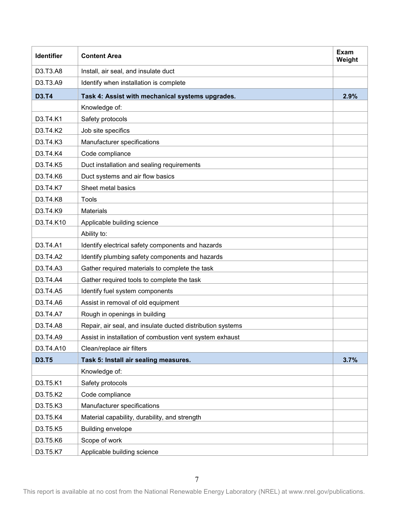| <b>Identifier</b> | <b>Content Area</b>                                        | Exam<br>Weight |
|-------------------|------------------------------------------------------------|----------------|
| D3.T3.A8          | Install, air seal, and insulate duct                       |                |
| D3.T3.A9          | Identify when installation is complete                     |                |
| <b>D3.T4</b>      | Task 4: Assist with mechanical systems upgrades.           | 2.9%           |
|                   | Knowledge of:                                              |                |
| D3.T4.K1          | Safety protocols                                           |                |
| D3.T4.K2          | Job site specifics                                         |                |
| D3.T4.K3          | Manufacturer specifications                                |                |
| D3.T4.K4          | Code compliance                                            |                |
| D3.T4.K5          | Duct installation and sealing requirements                 |                |
| D3.T4.K6          | Duct systems and air flow basics                           |                |
| D3.T4.K7          | Sheet metal basics                                         |                |
| D3.T4.K8          | Tools                                                      |                |
| D3.T4.K9          | <b>Materials</b>                                           |                |
| D3.T4.K10         | Applicable building science                                |                |
|                   | Ability to:                                                |                |
| D3.T4.A1          | Identify electrical safety components and hazards          |                |
| D3.T4.A2          | Identify plumbing safety components and hazards            |                |
| D3.T4.A3          | Gather required materials to complete the task             |                |
| D3.T4.A4          | Gather required tools to complete the task                 |                |
| D3.T4.A5          | Identify fuel system components                            |                |
| D3.T4.A6          | Assist in removal of old equipment                         |                |
| D3.T4.A7          | Rough in openings in building                              |                |
| D3.T4.A8          | Repair, air seal, and insulate ducted distribution systems |                |
| D3.T4.A9          | Assist in installation of combustion vent system exhaust   |                |
| D3.T4.A10         | Clean/replace air filters                                  |                |
| <b>D3.T5</b>      | Task 5: Install air sealing measures.                      | 3.7%           |
|                   | Knowledge of:                                              |                |
| D3.T5.K1          | Safety protocols                                           |                |
| D3.T5.K2          | Code compliance                                            |                |
| D3.T5.K3          | Manufacturer specifications                                |                |
| D3.T5.K4          | Material capability, durability, and strength              |                |
| D3.T5.K5          | Building envelope                                          |                |
| D3.T5.K6          | Scope of work                                              |                |
| D3.T5.K7          | Applicable building science                                |                |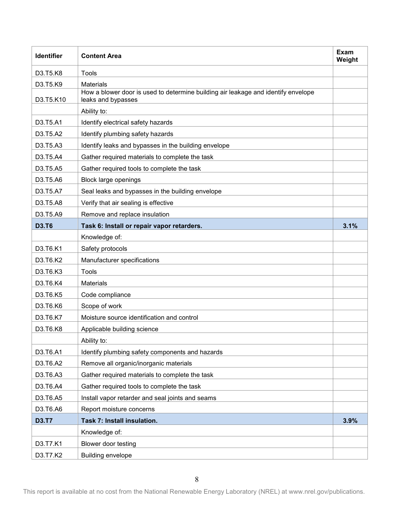| <b>Identifier</b> | <b>Content Area</b>                                                                                     | Exam<br>Weight |
|-------------------|---------------------------------------------------------------------------------------------------------|----------------|
| D3.T5.K8          | Tools                                                                                                   |                |
| D3.T5.K9          | <b>Materials</b>                                                                                        |                |
| D3.T5.K10         | How a blower door is used to determine building air leakage and identify envelope<br>leaks and bypasses |                |
|                   | Ability to:                                                                                             |                |
| D3.T5.A1          | Identify electrical safety hazards                                                                      |                |
| D3.T5.A2          | Identify plumbing safety hazards                                                                        |                |
| D3.T5.A3          | Identify leaks and bypasses in the building envelope                                                    |                |
| D3.T5.A4          | Gather required materials to complete the task                                                          |                |
| D3.T5.A5          | Gather required tools to complete the task                                                              |                |
| D3.T5.A6          | <b>Block large openings</b>                                                                             |                |
| D3.T5.A7          | Seal leaks and bypasses in the building envelope                                                        |                |
| D3.T5.A8          | Verify that air sealing is effective                                                                    |                |
| D3.T5.A9          | Remove and replace insulation                                                                           |                |
| <b>D3.T6</b>      | Task 6: Install or repair vapor retarders.                                                              | 3.1%           |
|                   | Knowledge of:                                                                                           |                |
| D3.T6.K1          | Safety protocols                                                                                        |                |
| D3.T6.K2          | Manufacturer specifications                                                                             |                |
| D3.T6.K3          | Tools                                                                                                   |                |
| D3.T6.K4          | <b>Materials</b>                                                                                        |                |
| D3.T6.K5          | Code compliance                                                                                         |                |
| D3.T6.K6          | Scope of work                                                                                           |                |
| D3.T6.K7          | Moisture source identification and control                                                              |                |
| D3.T6.K8          | Applicable building science                                                                             |                |
|                   | Ability to:                                                                                             |                |
| D3.T6.A1          | Identify plumbing safety components and hazards                                                         |                |
| D3.T6.A2          | Remove all organic/inorganic materials                                                                  |                |
| D3.T6.A3          | Gather required materials to complete the task                                                          |                |
| D3.T6.A4          | Gather required tools to complete the task                                                              |                |
| D3.T6.A5          | Install vapor retarder and seal joints and seams                                                        |                |
| D3.T6.A6          | Report moisture concerns                                                                                |                |
| <b>D3.T7</b>      | Task 7: Install insulation.                                                                             | 3.9%           |
|                   | Knowledge of:                                                                                           |                |
| D3.T7.K1          | Blower door testing                                                                                     |                |
| D3.T7.K2          | <b>Building envelope</b>                                                                                |                |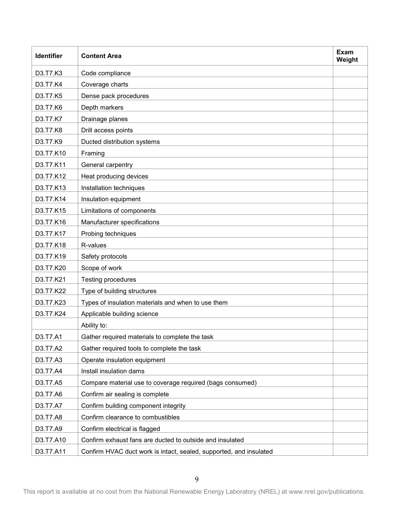| <b>Identifier</b> | <b>Content Area</b>                                                | Exam<br>Weight |
|-------------------|--------------------------------------------------------------------|----------------|
| D3.T7.K3          | Code compliance                                                    |                |
| D3.T7.K4          | Coverage charts                                                    |                |
| D3.T7.K5          | Dense pack procedures                                              |                |
| D3.T7.K6          | Depth markers                                                      |                |
| D3.T7.K7          | Drainage planes                                                    |                |
| D3.T7.K8          | Drill access points                                                |                |
| D3.T7.K9          | Ducted distribution systems                                        |                |
| D3.T7.K10         | Framing                                                            |                |
| D3.T7.K11         | General carpentry                                                  |                |
| D3.T7.K12         | Heat producing devices                                             |                |
| D3.T7.K13         | Installation techniques                                            |                |
| D3.T7.K14         | Insulation equipment                                               |                |
| D3.T7.K15         | Limitations of components                                          |                |
| D3.T7.K16         | Manufacturer specifications                                        |                |
| D3.T7.K17         | Probing techniques                                                 |                |
| D3.T7.K18         | R-values                                                           |                |
| D3.T7.K19         | Safety protocols                                                   |                |
| D3.T7.K20         | Scope of work                                                      |                |
| D3.T7.K21         | Testing procedures                                                 |                |
| D3.T7.K22         | Type of building structures                                        |                |
| D3.T7.K23         | Types of insulation materials and when to use them                 |                |
| D3.T7.K24         | Applicable building science                                        |                |
|                   | Ability to:                                                        |                |
| D3.T7.A1          | Gather required materials to complete the task                     |                |
| D3.T7.A2          | Gather required tools to complete the task                         |                |
| D3.T7.A3          | Operate insulation equipment                                       |                |
| D3.T7.A4          | Install insulation dams                                            |                |
| D3.T7.A5          | Compare material use to coverage required (bags consumed)          |                |
| D3.T7.A6          | Confirm air sealing is complete                                    |                |
| D3.T7.A7          | Confirm building component integrity                               |                |
| D3.T7.A8          | Confirm clearance to combustibles                                  |                |
| D3.T7.A9          | Confirm electrical is flagged                                      |                |
| D3.T7.A10         | Confirm exhaust fans are ducted to outside and insulated           |                |
| D3.T7.A11         | Confirm HVAC duct work is intact, sealed, supported, and insulated |                |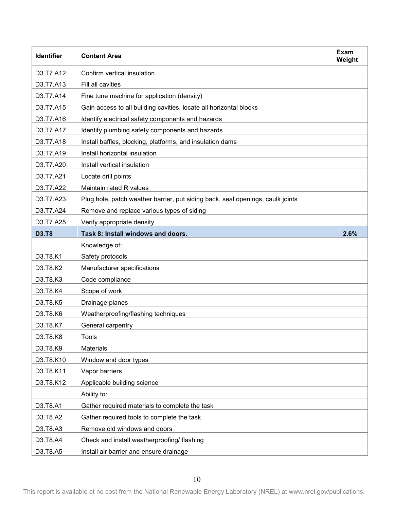| <b>Identifier</b> | <b>Content Area</b>                                                            | Exam<br>Weight |
|-------------------|--------------------------------------------------------------------------------|----------------|
| D3.T7.A12         | Confirm vertical insulation                                                    |                |
| D3.T7.A13         | Fill all cavities                                                              |                |
| D3.T7.A14         | Fine tune machine for application (density)                                    |                |
| D3.T7.A15         | Gain access to all building cavities, locate all horizontal blocks             |                |
| D3.T7.A16         | Identify electrical safety components and hazards                              |                |
| D3.T7.A17         | Identify plumbing safety components and hazards                                |                |
| D3.T7.A18         | Install baffles, blocking, platforms, and insulation dams                      |                |
| D3.T7.A19         | Install horizontal insulation                                                  |                |
| D3.T7.A20         | Install vertical insulation                                                    |                |
| D3.T7.A21         | Locate drill points                                                            |                |
| D3.T7.A22         | Maintain rated R values                                                        |                |
| D3.T7.A23         | Plug hole, patch weather barrier, put siding back, seal openings, caulk joints |                |
| D3.T7.A24         | Remove and replace various types of siding                                     |                |
| D3.T7.A25         | Verify appropriate density                                                     |                |
| <b>D3.T8</b>      | Task 8: Install windows and doors.                                             | 2.6%           |
|                   | Knowledge of:                                                                  |                |
| D3.T8.K1          | Safety protocols                                                               |                |
| D3.T8.K2          | Manufacturer specifications                                                    |                |
| D3.T8.K3          | Code compliance                                                                |                |
| D3.T8.K4          | Scope of work                                                                  |                |
| D3.T8.K5          | Drainage planes                                                                |                |
| D3.T8.K6          | Weatherproofing/flashing techniques                                            |                |
| D3.T8.K7          | General carpentry                                                              |                |
| D3.T8.K8          | <b>Tools</b>                                                                   |                |
| D3.T8.K9          | Materials                                                                      |                |
| D3.T8.K10         | Window and door types                                                          |                |
| D3.T8.K11         | Vapor barriers                                                                 |                |
| D3.T8.K12         | Applicable building science                                                    |                |
|                   | Ability to:                                                                    |                |
| D3.T8.A1          | Gather required materials to complete the task                                 |                |
| D3.T8.A2          | Gather required tools to complete the task                                     |                |
| D3.T8.A3          | Remove old windows and doors                                                   |                |
| D3.T8.A4          | Check and install weatherproofing/ flashing                                    |                |
| D3.T8.A5          | Install air barrier and ensure drainage                                        |                |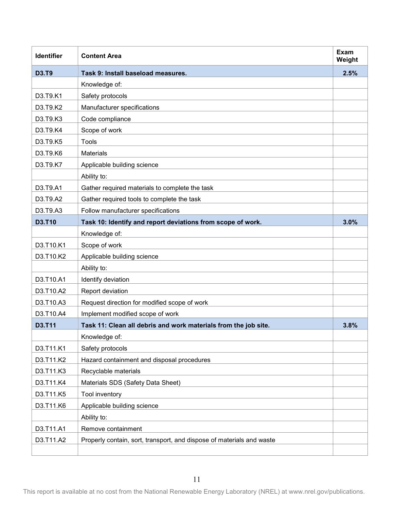| <b>Identifier</b> | <b>Content Area</b>                                                   | <b>Exam</b><br>Weight |
|-------------------|-----------------------------------------------------------------------|-----------------------|
| <b>D3.T9</b>      | Task 9: Install baseload measures.                                    | 2.5%                  |
|                   | Knowledge of:                                                         |                       |
| D3.T9.K1          | Safety protocols                                                      |                       |
| D3.T9.K2          | Manufacturer specifications                                           |                       |
| D3.T9.K3          | Code compliance                                                       |                       |
| D3.T9.K4          | Scope of work                                                         |                       |
| D3.T9.K5          | Tools                                                                 |                       |
| D3.T9.K6          | <b>Materials</b>                                                      |                       |
| D3.T9.K7          | Applicable building science                                           |                       |
|                   | Ability to:                                                           |                       |
| D3.T9.A1          | Gather required materials to complete the task                        |                       |
| D3.T9.A2          | Gather required tools to complete the task                            |                       |
| D3.T9.A3          | Follow manufacturer specifications                                    |                       |
| D3.T10            | Task 10: Identify and report deviations from scope of work.           | 3.0%                  |
|                   | Knowledge of:                                                         |                       |
| D3.T10.K1         | Scope of work                                                         |                       |
| D3.T10.K2         | Applicable building science                                           |                       |
|                   | Ability to:                                                           |                       |
| D3.T10.A1         | Identify deviation                                                    |                       |
| D3.T10.A2         | Report deviation                                                      |                       |
| D3.T10.A3         | Request direction for modified scope of work                          |                       |
| D3.T10.A4         | Implement modified scope of work                                      |                       |
| <b>D3.T11</b>     | Task 11: Clean all debris and work materials from the job site.       | 3.8%                  |
|                   | Knowledge of:                                                         |                       |
| D3.T11.K1         | Safety protocols                                                      |                       |
| D3.T11.K2         | Hazard containment and disposal procedures                            |                       |
| D3.T11.K3         | Recyclable materials                                                  |                       |
| D3.T11.K4         | Materials SDS (Safety Data Sheet)                                     |                       |
| D3.T11.K5         | Tool inventory                                                        |                       |
| D3.T11.K6         | Applicable building science                                           |                       |
|                   | Ability to:                                                           |                       |
| D3.T11.A1         | Remove containment                                                    |                       |
| D3.T11.A2         | Properly contain, sort, transport, and dispose of materials and waste |                       |
|                   |                                                                       |                       |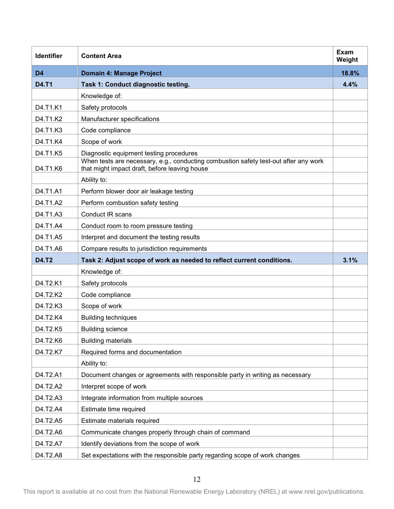| <b>Identifier</b> | <b>Content Area</b>                                                                                                                   | Exam<br>Weight |
|-------------------|---------------------------------------------------------------------------------------------------------------------------------------|----------------|
| D <sub>4</sub>    | Domain 4: Manage Project                                                                                                              | 18.8%          |
| <b>D4.T1</b>      | Task 1: Conduct diagnostic testing.                                                                                                   | 4.4%           |
|                   | Knowledge of:                                                                                                                         |                |
| D4.T1.K1          | Safety protocols                                                                                                                      |                |
| D4.T1.K2          | Manufacturer specifications                                                                                                           |                |
| D4.T1.K3          | Code compliance                                                                                                                       |                |
| D4.T1.K4          | Scope of work                                                                                                                         |                |
| D4.T1.K5          | Diagnostic equipment testing procedures                                                                                               |                |
| D4.T1.K6          | When tests are necessary, e.g., conducting combustion safety test-out after any work<br>that might impact draft, before leaving house |                |
|                   | Ability to:                                                                                                                           |                |
| D4.T1.A1          | Perform blower door air leakage testing                                                                                               |                |
| D4.T1.A2          | Perform combustion safety testing                                                                                                     |                |
| D4.T1.A3          | <b>Conduct IR scans</b>                                                                                                               |                |
| D4.T1.A4          | Conduct room to room pressure testing                                                                                                 |                |
| D4.T1.A5          | Interpret and document the testing results                                                                                            |                |
| D4.T1.A6          | Compare results to jurisdiction requirements                                                                                          |                |
| <b>D4.T2</b>      | Task 2: Adjust scope of work as needed to reflect current conditions.                                                                 | 3.1%           |
|                   | Knowledge of:                                                                                                                         |                |
| D4.T2.K1          | Safety protocols                                                                                                                      |                |
| D4.T2.K2          | Code compliance                                                                                                                       |                |
| D4.T2.K3          | Scope of work                                                                                                                         |                |
| D4.T2.K4          | <b>Building techniques</b>                                                                                                            |                |
| D4.T2.K5          | <b>Building science</b>                                                                                                               |                |
| D4.T2.K6          | <b>Building materials</b>                                                                                                             |                |
| D4.T2.K7          | Required forms and documentation                                                                                                      |                |
|                   | Ability to:                                                                                                                           |                |
| D4.T2.A1          | Document changes or agreements with responsible party in writing as necessary                                                         |                |
| D4.T2.A2          | Interpret scope of work                                                                                                               |                |
| D4.T2.A3          | Integrate information from multiple sources                                                                                           |                |
| D4.T2.A4          | Estimate time required                                                                                                                |                |
| D4.T2.A5          | Estimate materials required                                                                                                           |                |
| D4.T2.A6          | Communicate changes properly through chain of command                                                                                 |                |
| D4.T2.A7          | Identify deviations from the scope of work                                                                                            |                |
| D4.T2.A8          | Set expectations with the responsible party regarding scope of work changes                                                           |                |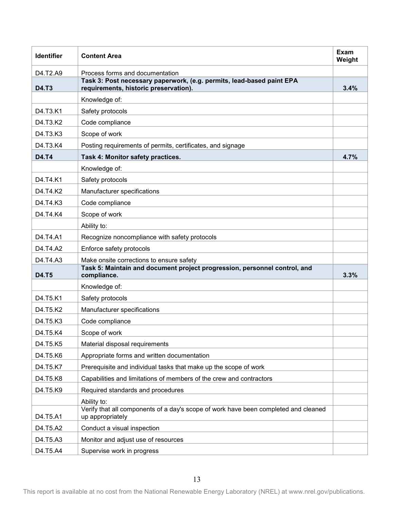| <b>Identifier</b> | <b>Content Area</b>                                                                                            | Exam<br>Weight |
|-------------------|----------------------------------------------------------------------------------------------------------------|----------------|
| D4.T2.A9          | Process forms and documentation                                                                                |                |
| D4.T3             | Task 3: Post necessary paperwork, (e.g. permits, lead-based paint EPA<br>requirements, historic preservation). | 3.4%           |
|                   | Knowledge of:                                                                                                  |                |
| D4.T3.K1          | Safety protocols                                                                                               |                |
| D4.T3.K2          | Code compliance                                                                                                |                |
| D4.T3.K3          | Scope of work                                                                                                  |                |
| D4.T3.K4          | Posting requirements of permits, certificates, and signage                                                     |                |
| <b>D4.T4</b>      | Task 4: Monitor safety practices.                                                                              | 4.7%           |
|                   | Knowledge of:                                                                                                  |                |
| D4.T4.K1          | Safety protocols                                                                                               |                |
| D4.T4.K2          | Manufacturer specifications                                                                                    |                |
| D4.T4.K3          | Code compliance                                                                                                |                |
| D4.T4.K4          | Scope of work                                                                                                  |                |
|                   | Ability to:                                                                                                    |                |
| D4.T4.A1          | Recognize noncompliance with safety protocols                                                                  |                |
| D4.T4.A2          | Enforce safety protocols                                                                                       |                |
| D4.T4.A3          | Make onsite corrections to ensure safety                                                                       |                |
| <b>D4.T5</b>      | Task 5: Maintain and document project progression, personnel control, and<br>compliance.                       | 3.3%           |
|                   | Knowledge of:                                                                                                  |                |
| D4.T5.K1          | Safety protocols                                                                                               |                |
| D4.T5.K2          | Manufacturer specifications                                                                                    |                |
| D4.T5.K3          | Code compliance                                                                                                |                |
| D4.T5.K4          | Scope of work                                                                                                  |                |
| D4.T5.K5          | Material disposal requirements                                                                                 |                |
| D4.T5.K6          | Appropriate forms and written documentation                                                                    |                |
| D4.T5.K7          | Prerequisite and individual tasks that make up the scope of work                                               |                |
| D4.T5.K8          | Capabilities and limitations of members of the crew and contractors                                            |                |
| D4.T5.K9          | Required standards and procedures                                                                              |                |
|                   | Ability to:                                                                                                    |                |
| D4.T5.A1          | Verify that all components of a day's scope of work have been completed and cleaned<br>up appropriately        |                |
| D4.T5.A2          | Conduct a visual inspection                                                                                    |                |
| D4.T5.A3          | Monitor and adjust use of resources                                                                            |                |
| D4.T5.A4          | Supervise work in progress                                                                                     |                |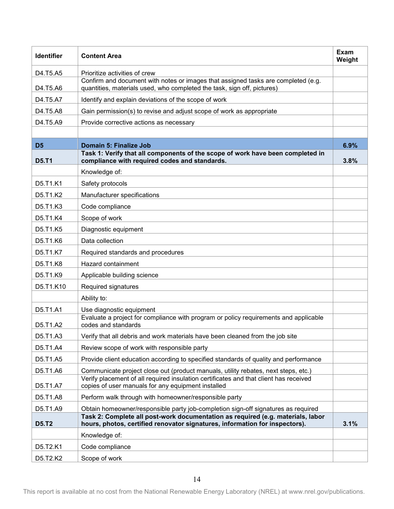| <b>Identifier</b> | <b>Content Area</b>                                                                                                                                            | Exam<br>Weight |
|-------------------|----------------------------------------------------------------------------------------------------------------------------------------------------------------|----------------|
| D4.T5.A5          | Prioritize activities of crew                                                                                                                                  |                |
| D4.T5.A6          | Confirm and document with notes or images that assigned tasks are completed (e.g.<br>quantities, materials used, who completed the task, sign off, pictures)   |                |
| D4.T5.A7          | Identify and explain deviations of the scope of work                                                                                                           |                |
| D4.T5.A8          | Gain permission(s) to revise and adjust scope of work as appropriate                                                                                           |                |
| D4.T5.A9          | Provide corrective actions as necessary                                                                                                                        |                |
|                   |                                                                                                                                                                |                |
| D <sub>5</sub>    | Domain 5: Finalize Job                                                                                                                                         | 6.9%           |
| <b>D5.T1</b>      | Task 1: Verify that all components of the scope of work have been completed in<br>compliance with required codes and standards.                                | 3.8%           |
|                   | Knowledge of:                                                                                                                                                  |                |
| D5.T1.K1          | Safety protocols                                                                                                                                               |                |
| D5.T1.K2          | Manufacturer specifications                                                                                                                                    |                |
| D5.T1.K3          | Code compliance                                                                                                                                                |                |
| D5.T1.K4          | Scope of work                                                                                                                                                  |                |
| D5.T1.K5          | Diagnostic equipment                                                                                                                                           |                |
| D5.T1.K6          | Data collection                                                                                                                                                |                |
| D5.T1.K7          | Required standards and procedures                                                                                                                              |                |
| D5.T1.K8          | Hazard containment                                                                                                                                             |                |
| D5.T1.K9          | Applicable building science                                                                                                                                    |                |
| D5.T1.K10         | Required signatures                                                                                                                                            |                |
|                   | Ability to:                                                                                                                                                    |                |
| D5.T1.A1          | Use diagnostic equipment                                                                                                                                       |                |
| D5.T1.A2          | Evaluate a project for compliance with program or policy requirements and applicable<br>codes and standards                                                    |                |
| D5.T1.A3          | Verify that all debris and work materials have been cleaned from the job site                                                                                  |                |
| D5.T1.A4          | Review scope of work with responsible party                                                                                                                    |                |
| D5.T1.A5          | Provide client education according to specified standards of quality and performance                                                                           |                |
| D5.T1.A6          | Communicate project close out (product manuals, utility rebates, next steps, etc.)                                                                             |                |
| D5.T1.A7          | Verify placement of all required insulation certificates and that client has received<br>copies of user manuals for any equipment installed                    |                |
| D5.T1.A8          | Perform walk through with homeowner/responsible party                                                                                                          |                |
| D5.T1.A9          | Obtain homeowner/responsible party job-completion sign-off signatures as required                                                                              |                |
| <b>D5.T2</b>      | Task 2: Complete all post-work documentation as required (e.g. materials, labor<br>hours, photos, certified renovator signatures, information for inspectors). | 3.1%           |
|                   | Knowledge of:                                                                                                                                                  |                |
| D5.T2.K1          | Code compliance                                                                                                                                                |                |
| D5.T2.K2          | Scope of work                                                                                                                                                  |                |